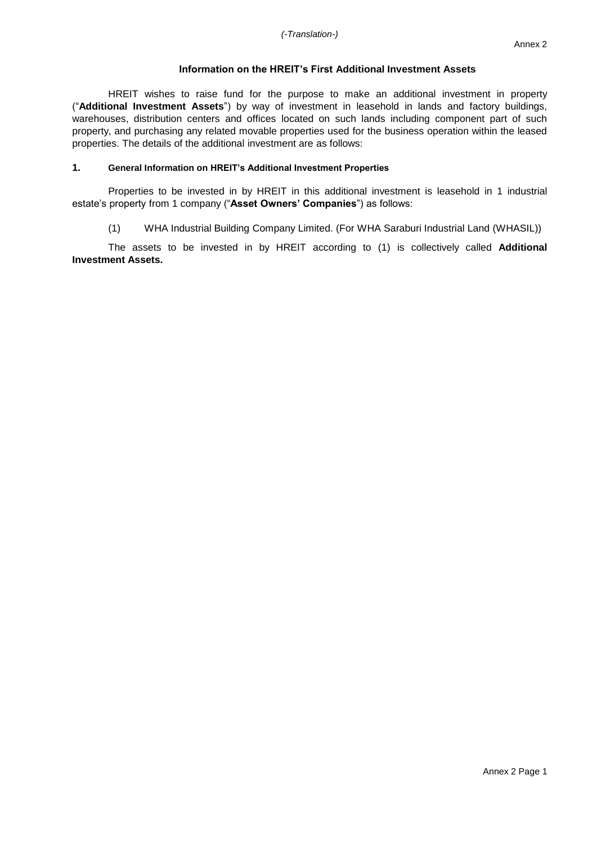### **Information on the HREIT's First Additional Investment Assets**

HREIT wishes to raise fund for the purpose to make an additional investment in property ("**Additional Investment Assets**") by way of investment in leasehold in lands and factory buildings, warehouses, distribution centers and offices located on such lands including component part of such property, and purchasing any related movable properties used for the business operation within the leased properties. The details of the additional investment are as follows:

### **1. General Information on HREIT's Additional Investment Properties**

Properties to be invested in by HREIT in this additional investment is leasehold in 1 industrial estate's property from 1 company ("**Asset Owners' Companies**") as follows:

(1) WHA Industrial Building Company Limited. (For WHA Saraburi Industrial Land (WHASIL))

The assets to be invested in by HREIT according to (1) is collectively called **Additional Investment Assets.**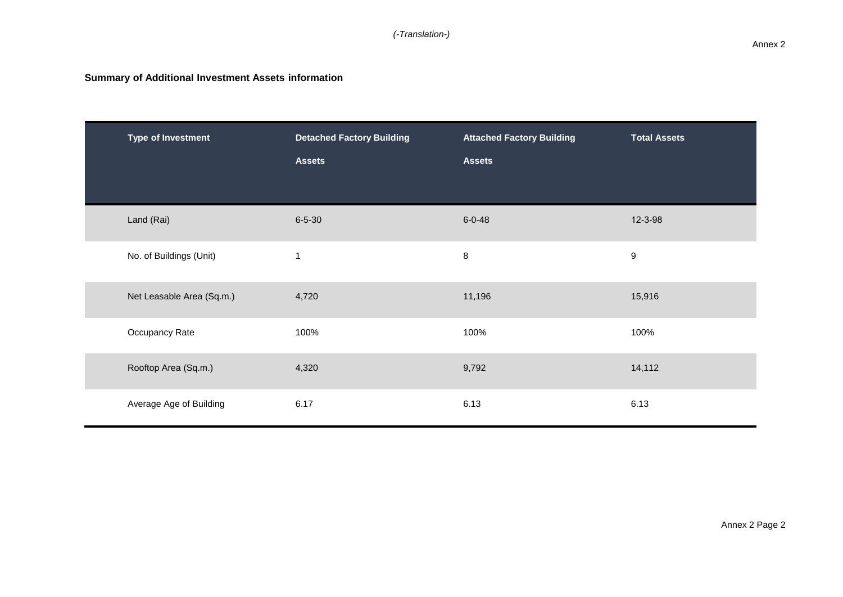| <b>Type of Investment</b> | <b>Detached Factory Building</b><br><b>Assets</b> | <b>Attached Factory Building</b><br><b>Assets</b> | <b>Total Assets</b> |
|---------------------------|---------------------------------------------------|---------------------------------------------------|---------------------|
| Land (Rai)                | $6 - 5 - 30$                                      | $6 - 0 - 48$                                      | 12-3-98             |
| No. of Buildings (Unit)   |                                                   | $\bf 8$                                           | $\boldsymbol{9}$    |
| Net Leasable Area (Sq.m.) | 4,720                                             | 11,196                                            | 15,916              |
| Occupancy Rate            | 100%                                              | 100%                                              | 100%                |
| Rooftop Area (Sq.m.)      | 4,320                                             | 9,792                                             | 14,112              |
| Average Age of Building   | 6.17                                              | 6.13                                              | 6.13                |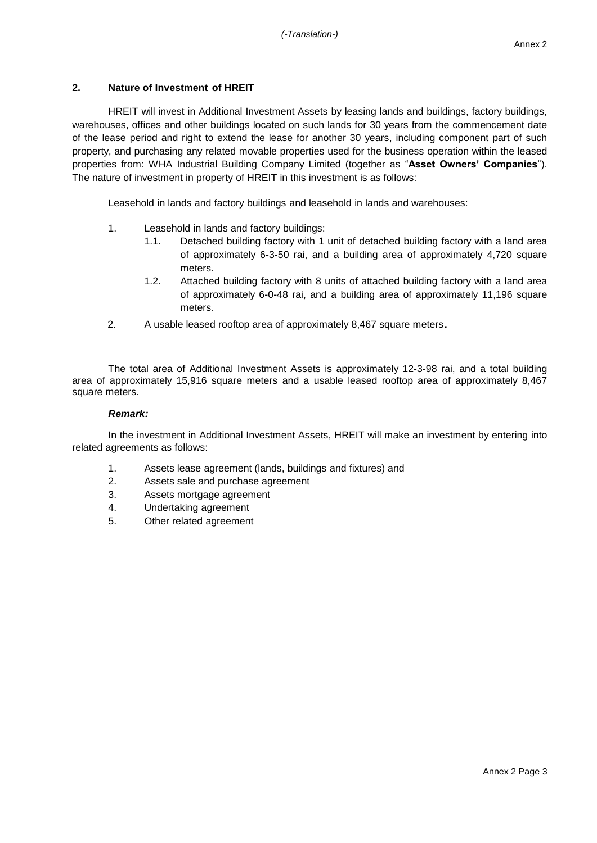# **2. Nature of Investment of HREIT**

HREIT will invest in Additional Investment Assets by leasing lands and buildings, factory buildings, warehouses, offices and other buildings located on such lands for 30 years from the commencement date of the lease period and right to extend the lease for another 30 years, including component part of such property, and purchasing any related movable properties used for the business operation within the leased properties from: WHA Industrial Building Company Limited (together as "**Asset Owners' Companies**"). The nature of investment in property of HREIT in this investment is as follows:

Leasehold in lands and factory buildings and leasehold in lands and warehouses:

- 1. Leasehold in lands and factory buildings:
	- 1.1. Detached building factory with 1 unit of detached building factory with a land area of approximately 6-3-50 rai, and a building area of approximately 4,720 square meters.
	- 1.2. Attached building factory with 8 units of attached building factory with a land area of approximately 6-0-48 rai, and a building area of approximately 11,196 square meters.
- 2. A usable leased rooftop area of approximately 8,467 square meters.

The total area of Additional Investment Assets is approximately 12-3-98 rai, and a total building area of approximately 15,916 square meters and a usable leased rooftop area of approximately 8,467 square meters.

### *Remark:*

In the investment in Additional Investment Assets, HREIT will make an investment by entering into related agreements as follows:

- 1. Assets lease agreement (lands, buildings and fixtures) and
- 2. Assets sale and purchase agreement
- 3. Assets mortgage agreement
- 4. Undertaking agreement
- 5. Other related agreement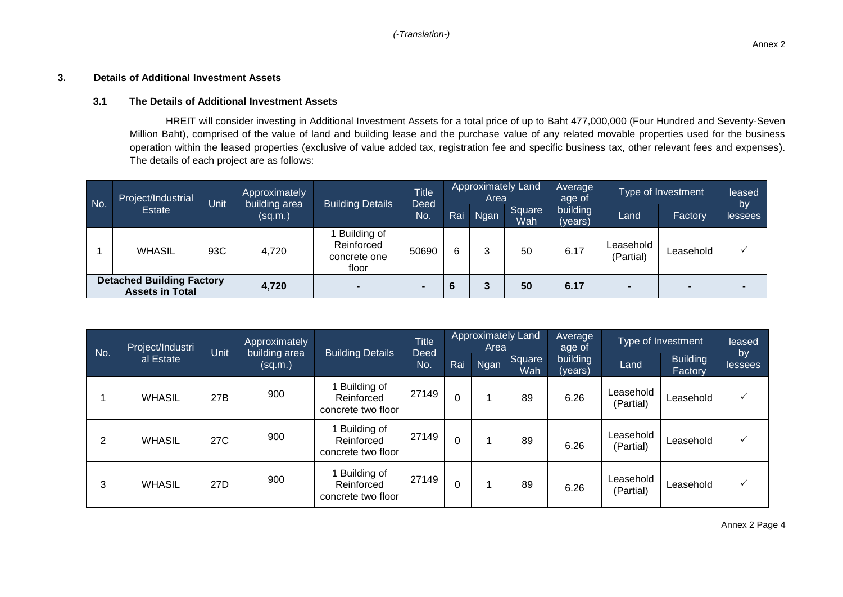## **3. Details of Additional Investment Assets**

### **3.1 The Details of Additional Investment Assets**

HREIT will consider investing in Additional Investment Assets for a total price of up to Baht 477,000,000 (Four Hundred and Seventy-Seven Million Baht), comprised of the value of land and building lease and the purchase value of any related movable properties used for the business operation within the leased properties (exclusive of value added tax, registration fee and specific business tax, other relevant fees and expenses). The details of each project are as follows:

| No.                                                        | Project/Industrial | Unit  | Approximately<br>building area | <b>Approximately Land</b><br>Average<br><b>Title</b><br>Area<br>age of<br><b>Building Details</b> | Type of Investment |     |             | leased        |                     |                        |           |               |
|------------------------------------------------------------|--------------------|-------|--------------------------------|---------------------------------------------------------------------------------------------------|--------------------|-----|-------------|---------------|---------------------|------------------------|-----------|---------------|
|                                                            | Estate             |       | (sq.m.)                        |                                                                                                   | Deed<br>No.        | Rai | <b>Ngan</b> | Square<br>Wah | building<br>(years) | Land                   | Factory   | by<br>lessees |
|                                                            | <b>WHASIL</b>      | 93C   | 4,720                          | Building of<br>Reinforced<br>concrete one<br>floor                                                | 50690              | 6   | っ           | 50            | 6.17                | Leasehold<br>(Partial) | Leasehold |               |
| <b>Detached Building Factory</b><br><b>Assets in Total</b> |                    | 4,720 |                                |                                                                                                   | 6                  |     | 50          | 6.17          |                     | $\blacksquare$         |           |               |

|     | Project/Industri | Unit | Approximately            |                                                 | <b>Title</b> |          |             |               | Approximately Land<br>Area | <b>Average</b><br>age of |                            | Type of Investment | leased |
|-----|------------------|------|--------------------------|-------------------------------------------------|--------------|----------|-------------|---------------|----------------------------|--------------------------|----------------------------|--------------------|--------|
| No. | al Estate        |      | building area<br>(sq.m.) | <b>Building Details</b>                         | Deed<br>No.  | Rai      | <b>Ngan</b> | Square<br>Wah | building<br>(years)        | Land                     | <b>Building</b><br>Factory | by<br>lessees      |        |
|     | <b>WHASIL</b>    | 27B  | 900                      | Building of<br>Reinforced<br>concrete two floor | 27149        | 0        |             | 89            | 6.26                       | Leasehold<br>(Partial)   | Leasehold                  |                    |        |
| 2   | <b>WHASIL</b>    | 27C  | 900                      | Building of<br>Reinforced<br>concrete two floor | 27149        | 0        |             | 89            | 6.26                       | Leasehold<br>(Partial)   | Leasehold                  |                    |        |
| 3   | <b>WHASIL</b>    | 27D  | 900                      | Building of<br>Reinforced<br>concrete two floor | 27149        | $\Omega$ |             | 89            | 6.26                       | Leasehold<br>(Partial)   | Leasehold                  |                    |        |

Annex 2 Page 4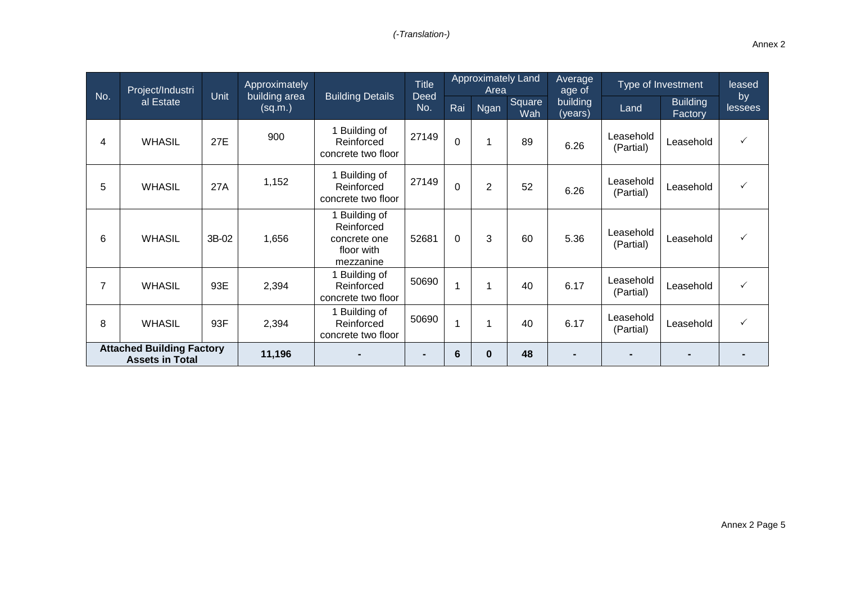|                | Project/Industri                                           |       | <b>Approximately</b>     |                                                                        | Title              |                 |                |               | <b>Approximately Land</b><br>Area |                        | Average<br>age of          | Type of Investment |  | leased |
|----------------|------------------------------------------------------------|-------|--------------------------|------------------------------------------------------------------------|--------------------|-----------------|----------------|---------------|-----------------------------------|------------------------|----------------------------|--------------------|--|--------|
| No.            | al Estate                                                  | Unit  | building area<br>(sq.m.) | <b>Building Details</b>                                                | <b>Deed</b><br>No. | Rai             | <b>Ngan</b>    | Square<br>Wah | building<br>(years)               | Land                   | <b>Building</b><br>Factory | by<br>lessees      |  |        |
| 4              | <b>WHASIL</b>                                              | 27E   | 900                      | 1 Building of<br>Reinforced<br>concrete two floor                      | 27149              | $\Omega$        | 1              | 89            | 6.26                              | Leasehold<br>(Partial) | Leasehold                  | $\checkmark$       |  |        |
| 5              | <b>WHASIL</b>                                              | 27A   | 1,152                    | 1 Building of<br>Reinforced<br>concrete two floor                      | 27149              | $\overline{0}$  | $\overline{2}$ | 52            | 6.26                              | Leasehold<br>(Partial) | Leasehold                  |                    |  |        |
| 6              | <b>WHASIL</b>                                              | 3B-02 | 1,656                    | 1 Building of<br>Reinforced<br>concrete one<br>floor with<br>mezzanine | 52681              | $\Omega$        | 3              | 60            | 5.36                              | Leasehold<br>(Partial) | Leasehold                  | ✓                  |  |        |
| $\overline{7}$ | <b>WHASIL</b>                                              | 93E   | 2,394                    | 1 Building of<br>Reinforced<br>concrete two floor                      | 50690              | 1               | 1              | 40            | 6.17                              | Leasehold<br>(Partial) | Leasehold                  | ✓                  |  |        |
| 8              | <b>WHASIL</b>                                              | 93F   | 2,394                    | 1 Building of<br>Reinforced<br>concrete two floor                      | 50690              | 1               | 1              | 40            | 6.17                              | Leasehold<br>(Partial) | Leasehold                  | $\checkmark$       |  |        |
|                | <b>Attached Building Factory</b><br><b>Assets in Total</b> |       | 11,196                   |                                                                        | $\blacksquare$     | $6\phantom{1}6$ | $\mathbf{0}$   | 48            |                                   |                        |                            |                    |  |        |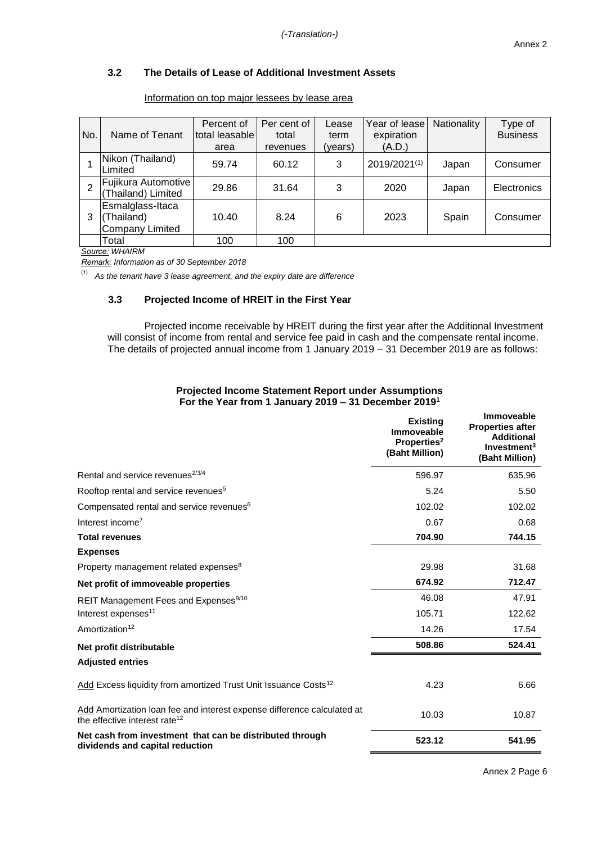# **3.2 The Details of Lease of Additional Investment Assets**

| No. | Name of Tenant                                    | Percent of<br>total leasable<br>area | Per cent of<br>total<br>revenues | Lease<br>term<br>(years) | Year of lease<br>expiration<br>(A.D.) | Nationality | Type of<br><b>Business</b> |
|-----|---------------------------------------------------|--------------------------------------|----------------------------------|--------------------------|---------------------------------------|-------------|----------------------------|
|     | Nikon (Thailand)<br>Limited                       | 59.74                                | 60.12                            | 3                        | 2019/2021(1)                          | Japan       | Consumer                   |
| 2   | Fujikura Automotive<br>(Thailand) Limited         | 29.86                                | 31.64                            | 3                        | 2020                                  | Japan       | Electronics                |
| 3   | Esmalglass-Itaca<br>(Thailand)<br>Company Limited | 10.40                                | 8.24                             | 6                        | 2023                                  | Spain       | Consumer                   |
|     | Total                                             | 100                                  | 100                              |                          |                                       |             |                            |

Information on top major lessees by lease area

*Source: WHAIRM*

*Remark: Information as of 30 September 2018*

**(1)** *As the tenant have 3 lease agreement, and the expiry date are difference*

## **3.3 Projected Income of HREIT in the First Year**

Projected income receivable by HREIT during the first year after the Additional Investment will consist of income from rental and service fee paid in cash and the compensate rental income. The details of projected annual income from 1 January 2019 – 31 December 2019 are as follows:

|                                                                  | <b>Projected Income Statement Report under Assumptions</b> |
|------------------------------------------------------------------|------------------------------------------------------------|
| For the Year from 1 January 2019 – 31 December 2019 <sup>1</sup> |                                                            |

|                                                                                                                      | <b>Existing</b><br><b>Immoveable</b><br>Properties <sup>2</sup><br>(Baht Million) | <b>Immoveable</b><br><b>Properties after</b><br><b>Additional</b><br>Investment <sup>3</sup><br>(Baht Million) |
|----------------------------------------------------------------------------------------------------------------------|-----------------------------------------------------------------------------------|----------------------------------------------------------------------------------------------------------------|
| Rental and service revenues <sup>2/3/4</sup>                                                                         | 596.97                                                                            | 635.96                                                                                                         |
| Rooftop rental and service revenues <sup>5</sup>                                                                     | 5.24                                                                              | 5.50                                                                                                           |
| Compensated rental and service revenues <sup>6</sup>                                                                 | 102.02                                                                            | 102.02                                                                                                         |
| Interest income <sup>7</sup>                                                                                         | 0.67                                                                              | 0.68                                                                                                           |
| <b>Total revenues</b>                                                                                                | 704.90                                                                            | 744.15                                                                                                         |
| <b>Expenses</b>                                                                                                      |                                                                                   |                                                                                                                |
| Property management related expenses <sup>8</sup>                                                                    | 29.98                                                                             | 31.68                                                                                                          |
| Net profit of immoveable properties                                                                                  | 674.92                                                                            | 712.47                                                                                                         |
| REIT Management Fees and Expenses <sup>9/10</sup>                                                                    | 46.08                                                                             | 47.91                                                                                                          |
| Interest expenses <sup>11</sup>                                                                                      | 105.71                                                                            | 122.62                                                                                                         |
| Amortization <sup>12</sup>                                                                                           | 14.26                                                                             | 17.54                                                                                                          |
| Net profit distributable                                                                                             | 508.86                                                                            | 524.41                                                                                                         |
| <b>Adjusted entries</b>                                                                                              |                                                                                   |                                                                                                                |
| Add Excess liquidity from amortized Trust Unit Issuance Costs <sup>12</sup>                                          | 4.23                                                                              | 6.66                                                                                                           |
| Add Amortization loan fee and interest expense difference calculated at<br>the effective interest rate <sup>12</sup> | 10.03                                                                             | 10.87                                                                                                          |
| Net cash from investment that can be distributed through<br>dividends and capital reduction                          | 523.12                                                                            | 541.95                                                                                                         |

Annex 2 Page 6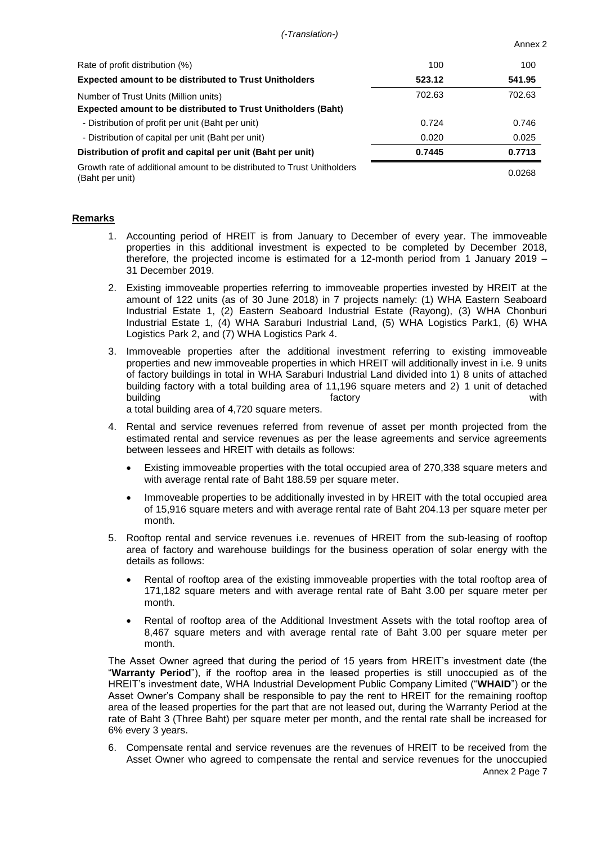*(-Translation-)*

| Annex |  |
|-------|--|
|       |  |

| Rate of profit distribution (%)                                                                               | 100    | 100    |
|---------------------------------------------------------------------------------------------------------------|--------|--------|
| <b>Expected amount to be distributed to Trust Unitholders</b>                                                 | 523.12 | 541.95 |
| Number of Trust Units (Million units)<br><b>Expected amount to be distributed to Trust Unitholders (Baht)</b> | 702.63 | 702.63 |
| - Distribution of profit per unit (Baht per unit)                                                             | 0.724  | 0.746  |
| - Distribution of capital per unit (Baht per unit)                                                            | 0.020  | 0.025  |
| Distribution of profit and capital per unit (Baht per unit)                                                   | 0.7445 | 0.7713 |
| Growth rate of additional amount to be distributed to Trust Unitholders<br>(Baht per unit)                    |        | 0.0268 |

### **Remarks**

- 1. Accounting period of HREIT is from January to December of every year. The immoveable properties in this additional investment is expected to be completed by December 2018, therefore, the projected income is estimated for a 12-month period from 1 January 2019 – 31 December 2019.
- 2. Existing immoveable properties referring to immoveable properties invested by HREIT at the amount of 122 units (as of 30 June 2018) in 7 projects namely: (1) WHA Eastern Seaboard Industrial Estate 1, (2) Eastern Seaboard Industrial Estate (Rayong), (3) WHA Chonburi Industrial Estate 1, (4) WHA Saraburi Industrial Land, (5) WHA Logistics Park1, (6) WHA Logistics Park 2, and (7) WHA Logistics Park 4.
- 3. Immoveable properties after the additional investment referring to existing immoveable properties and new immoveable properties in which HREIT will additionally invest in i.e. 9 units of factory buildings in total in WHA Saraburi Industrial Land divided into 1) 8 units of attached building factory with a total building area of 11,196 square meters and 2) 1 unit of detached building with the control of the control of the control of the control of the control of the control of the co a total building area of 4,720 square meters.
- 4. Rental and service revenues referred from revenue of asset per month projected from the estimated rental and service revenues as per the lease agreements and service agreements between lessees and HREIT with details as follows:
	- Existing immoveable properties with the total occupied area of 270,338 square meters and with average rental rate of Baht 188.59 per square meter.
	- Immoveable properties to be additionally invested in by HREIT with the total occupied area of 15,916 square meters and with average rental rate of Baht 204.13 per square meter per month.
- 5. Rooftop rental and service revenues i.e. revenues of HREIT from the sub-leasing of rooftop area of factory and warehouse buildings for the business operation of solar energy with the details as follows:
	- Rental of rooftop area of the existing immoveable properties with the total rooftop area of 171,182 square meters and with average rental rate of Baht 3.00 per square meter per month.
	- Rental of rooftop area of the Additional Investment Assets with the total rooftop area of 8,467 square meters and with average rental rate of Baht 3.00 per square meter per month.

The Asset Owner agreed that during the period of 15 years from HREIT's investment date (the "**Warranty Period**"), if the rooftop area in the leased properties is still unoccupied as of the HREIT's investment date, WHA Industrial Development Public Company Limited ("**WHAID**") or the Asset Owner's Company shall be responsible to pay the rent to HREIT for the remaining rooftop area of the leased properties for the part that are not leased out, during the Warranty Period at the rate of Baht 3 (Three Baht) per square meter per month, and the rental rate shall be increased for 6% every 3 years.

Annex 2 Page 7 6. Compensate rental and service revenues are the revenues of HREIT to be received from the Asset Owner who agreed to compensate the rental and service revenues for the unoccupied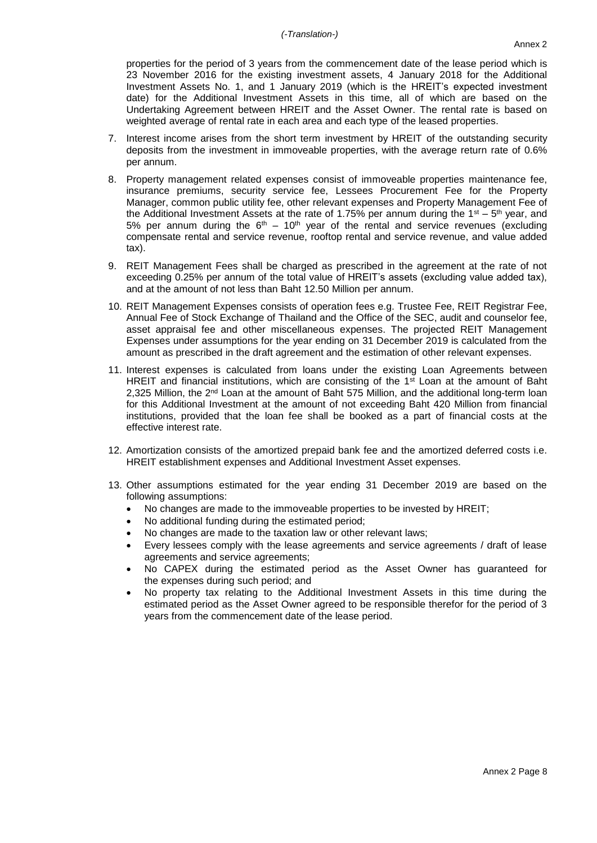properties for the period of 3 years from the commencement date of the lease period which is 23 November 2016 for the existing investment assets, 4 January 2018 for the Additional Investment Assets No. 1, and 1 January 2019 (which is the HREIT's expected investment date) for the Additional Investment Assets in this time, all of which are based on the Undertaking Agreement between HREIT and the Asset Owner. The rental rate is based on weighted average of rental rate in each area and each type of the leased properties.

- 7. Interest income arises from the short term investment by HREIT of the outstanding security deposits from the investment in immoveable properties, with the average return rate of 0.6% per annum.
- 8. Property management related expenses consist of immoveable properties maintenance fee, insurance premiums, security service fee, Lessees Procurement Fee for the Property Manager, common public utility fee, other relevant expenses and Property Management Fee of the Additional Investment Assets at the rate of 1.75% per annum during the 1<sup>st</sup> – 5<sup>th</sup> year, and 5% per annum during the  $6<sup>th</sup>$  – 10<sup>th</sup> year of the rental and service revenues (excluding compensate rental and service revenue, rooftop rental and service revenue, and value added tax).
- 9. REIT Management Fees shall be charged as prescribed in the agreement at the rate of not exceeding 0.25% per annum of the total value of HREIT's assets (excluding value added tax), and at the amount of not less than Baht 12.50 Million per annum.
- 10. REIT Management Expenses consists of operation fees e.g. Trustee Fee, REIT Registrar Fee, Annual Fee of Stock Exchange of Thailand and the Office of the SEC, audit and counselor fee, asset appraisal fee and other miscellaneous expenses. The projected REIT Management Expenses under assumptions for the year ending on 31 December 2019 is calculated from the amount as prescribed in the draft agreement and the estimation of other relevant expenses.
- 11. Interest expenses is calculated from loans under the existing Loan Agreements between HREIT and financial institutions, which are consisting of the  $1<sup>st</sup>$  Loan at the amount of Baht 2,325 Million, the  $2<sup>nd</sup>$  Loan at the amount of Baht 575 Million, and the additional long-term loan for this Additional Investment at the amount of not exceeding Baht 420 Million from financial institutions, provided that the loan fee shall be booked as a part of financial costs at the effective interest rate.
- 12. Amortization consists of the amortized prepaid bank fee and the amortized deferred costs i.e. HREIT establishment expenses and Additional Investment Asset expenses.
- 13. Other assumptions estimated for the year ending 31 December 2019 are based on the following assumptions:
	- No changes are made to the immoveable properties to be invested by HREIT;
	- No additional funding during the estimated period;
	- No changes are made to the taxation law or other relevant laws;
	- Every lessees comply with the lease agreements and service agreements / draft of lease agreements and service agreements;
	- No CAPEX during the estimated period as the Asset Owner has guaranteed for the expenses during such period; and
	- No property tax relating to the Additional Investment Assets in this time during the estimated period as the Asset Owner agreed to be responsible therefor for the period of 3 years from the commencement date of the lease period.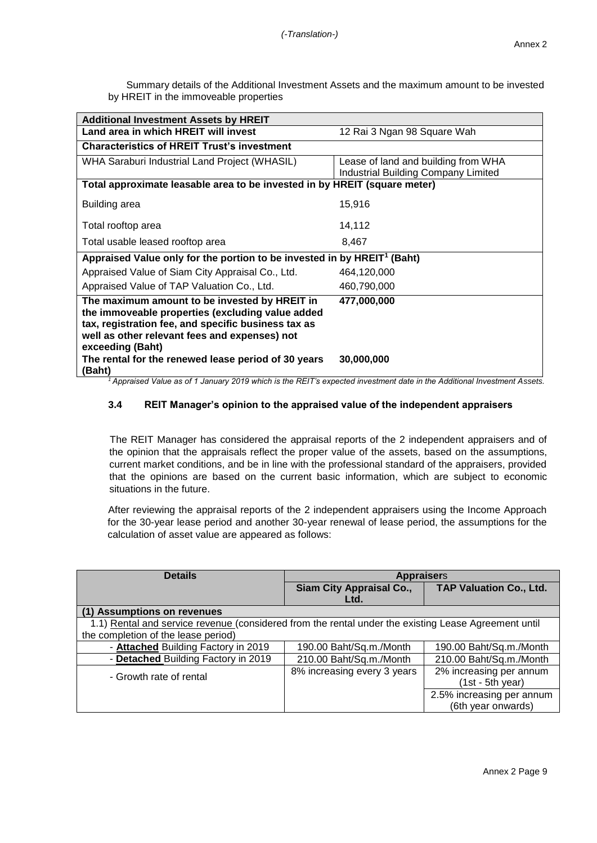|                                       | Summary details of the Additional Investment Assets and the maximum amount to be invested |
|---------------------------------------|-------------------------------------------------------------------------------------------|
| by HREIT in the immoveable properties |                                                                                           |

| <b>Additional Investment Assets by HREIT</b>                                                                                                                                                                                                                                         |                                     |
|--------------------------------------------------------------------------------------------------------------------------------------------------------------------------------------------------------------------------------------------------------------------------------------|-------------------------------------|
| Land area in which HREIT will invest                                                                                                                                                                                                                                                 | 12 Rai 3 Ngan 98 Square Wah         |
| <b>Characteristics of HREIT Trust's investment</b>                                                                                                                                                                                                                                   |                                     |
| <b>WHA Saraburi Industrial Land Project (WHASIL)</b>                                                                                                                                                                                                                                 | Lease of land and building from WHA |
|                                                                                                                                                                                                                                                                                      | Industrial Building Company Limited |
| Total approximate leasable area to be invested in by HREIT (square meter)                                                                                                                                                                                                            |                                     |
| <b>Building area</b>                                                                                                                                                                                                                                                                 | 15,916                              |
| Total rooftop area                                                                                                                                                                                                                                                                   | 14,112                              |
| Total usable leased rooftop area                                                                                                                                                                                                                                                     | 8,467                               |
| Appraised Value only for the portion to be invested in by HREIT <sup>1</sup> (Baht)                                                                                                                                                                                                  |                                     |
| Appraised Value of Siam City Appraisal Co., Ltd.                                                                                                                                                                                                                                     | 464,120,000                         |
| Appraised Value of TAP Valuation Co., Ltd.                                                                                                                                                                                                                                           | 460,790,000                         |
| The maximum amount to be invested by HREIT in<br>the immoveable properties (excluding value added<br>tax, registration fee, and specific business tax as<br>well as other relevant fees and expenses) not<br>exceeding (Baht)<br>The rental for the renewed lease period of 30 years | 477,000,000<br>30,000,000           |
| (Baht)                                                                                                                                                                                                                                                                               |                                     |

*<sup>1</sup> Appraised Value as of 1 January 2019 which is the REIT's expected investment date in the Additional Investment Assets.*

# **3.4 REIT Manager's opinion to the appraised value of the independent appraisers**

The REIT Manager has considered the appraisal reports of the 2 independent appraisers and of the opinion that the appraisals reflect the proper value of the assets, based on the assumptions, current market conditions, and be in line with the professional standard of the appraisers, provided that the opinions are based on the current basic information, which are subject to economic situations in the future.

After reviewing the appraisal reports of the 2 independent appraisers using the Income Approach for the 30-year lease period and another 30-year renewal of lease period, the assumptions for the calculation of asset value are appeared as follows:

| <b>Details</b>                                                                                       | <b>Appraisers</b>           |                                |  |  |
|------------------------------------------------------------------------------------------------------|-----------------------------|--------------------------------|--|--|
|                                                                                                      | Siam City Appraisal Co.,    | <b>TAP Valuation Co., Ltd.</b> |  |  |
|                                                                                                      | Ltd.                        |                                |  |  |
| (1) Assumptions on revenues                                                                          |                             |                                |  |  |
| 1.1) Rental and service revenue (considered from the rental under the existing Lease Agreement until |                             |                                |  |  |
| the completion of the lease period)                                                                  |                             |                                |  |  |
| - Attached Building Factory in 2019                                                                  | 190.00 Baht/Sq.m./Month     | 190.00 Baht/Sq.m./Month        |  |  |
| - Detached Building Factory in 2019                                                                  | 210.00 Baht/Sq.m./Month     | 210.00 Baht/Sq.m./Month        |  |  |
| - Growth rate of rental                                                                              | 8% increasing every 3 years | 2% increasing per annum        |  |  |
|                                                                                                      |                             | $(1st - 5th$ year)             |  |  |
|                                                                                                      |                             | 2.5% increasing per annum      |  |  |
|                                                                                                      |                             | (6th year onwards)             |  |  |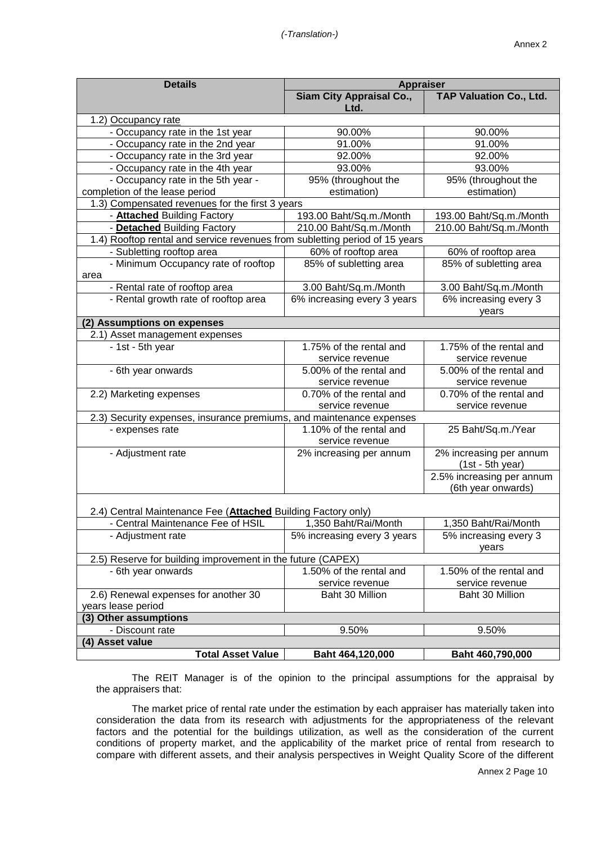| <b>Details</b>                                                              | <b>Appraiser</b>                           |                           |  |  |  |  |
|-----------------------------------------------------------------------------|--------------------------------------------|---------------------------|--|--|--|--|
|                                                                             | <b>Siam City Appraisal Co.,</b><br>Ltd.    | TAP Valuation Co., Ltd.   |  |  |  |  |
| 1.2) Occupancy rate                                                         |                                            |                           |  |  |  |  |
| - Occupancy rate in the 1st year                                            | 90.00%                                     | 90.00%                    |  |  |  |  |
| - Occupancy rate in the 2nd year                                            | 91.00%                                     | 91.00%                    |  |  |  |  |
| - Occupancy rate in the 3rd year                                            | 92.00%                                     | 92.00%                    |  |  |  |  |
| - Occupancy rate in the 4th year                                            | 93.00%                                     | 93.00%                    |  |  |  |  |
| - Occupancy rate in the 5th year -                                          | 95% (throughout the                        | 95% (throughout the       |  |  |  |  |
| completion of the lease period                                              | estimation)                                | estimation)               |  |  |  |  |
| 1.3) Compensated revenues for the first 3 years                             |                                            |                           |  |  |  |  |
| - <b>Attached</b> Building Factory                                          | 193.00 Baht/Sq.m./Month                    | 193.00 Baht/Sq.m./Month   |  |  |  |  |
| - Detached Building Factory                                                 | 210.00 Baht/Sq.m./Month                    | 210.00 Baht/Sq.m./Month   |  |  |  |  |
| 1.4) Rooftop rental and service revenues from subletting period of 15 years |                                            |                           |  |  |  |  |
| - Subletting rooftop area                                                   | 60% of rooftop area                        | 60% of rooftop area       |  |  |  |  |
| - Minimum Occupancy rate of rooftop                                         | 85% of subletting area                     | 85% of subletting area    |  |  |  |  |
| area                                                                        |                                            |                           |  |  |  |  |
| - Rental rate of rooftop area                                               | 3.00 Baht/Sq.m./Month                      | 3.00 Baht/Sq.m./Month     |  |  |  |  |
| - Rental growth rate of rooftop area                                        | 6% increasing every 3 years                | 6% increasing every 3     |  |  |  |  |
|                                                                             |                                            | years                     |  |  |  |  |
| (2) Assumptions on expenses                                                 |                                            |                           |  |  |  |  |
| 2.1) Asset management expenses                                              |                                            |                           |  |  |  |  |
| - 1st - 5th year                                                            | 1.75% of the rental and                    | 1.75% of the rental and   |  |  |  |  |
|                                                                             | service revenue                            | service revenue           |  |  |  |  |
| - 6th year onwards                                                          | 5.00% of the rental and                    | 5.00% of the rental and   |  |  |  |  |
|                                                                             | service revenue                            | service revenue           |  |  |  |  |
| 2.2) Marketing expenses                                                     | 0.70% of the rental and                    | 0.70% of the rental and   |  |  |  |  |
|                                                                             | service revenue                            | service revenue           |  |  |  |  |
| 2.3) Security expenses, insurance premiums, and maintenance expenses        |                                            |                           |  |  |  |  |
| - expenses rate                                                             | 1.10% of the rental and                    | 25 Baht/Sq.m./Year        |  |  |  |  |
| - Adjustment rate                                                           | service revenue<br>2% increasing per annum | 2% increasing per annum   |  |  |  |  |
|                                                                             |                                            | $(1st - 5th year)$        |  |  |  |  |
|                                                                             |                                            | 2.5% increasing per annum |  |  |  |  |
|                                                                             |                                            | (6th year onwards)        |  |  |  |  |
|                                                                             |                                            |                           |  |  |  |  |
| 2.4) Central Maintenance Fee (Attached Building Factory only)               |                                            |                           |  |  |  |  |
| - Central Maintenance Fee of HSIL                                           | 1.350 Baht/Rai/Month                       | 1.350 Baht/Rai/Month      |  |  |  |  |
| - Adjustment rate                                                           | 5% increasing every 3 years                | 5% increasing every 3     |  |  |  |  |
|                                                                             |                                            | years                     |  |  |  |  |
| 2.5) Reserve for building improvement in the future (CAPEX)                 |                                            |                           |  |  |  |  |
| - 6th year onwards                                                          | 1.50% of the rental and                    | 1.50% of the rental and   |  |  |  |  |
|                                                                             | service revenue                            | service revenue           |  |  |  |  |
| 2.6) Renewal expenses for another 30                                        | Baht 30 Million                            | Baht 30 Million           |  |  |  |  |
| years lease period                                                          |                                            |                           |  |  |  |  |
| (3) Other assumptions                                                       |                                            |                           |  |  |  |  |
| - Discount rate                                                             | 9.50%                                      | 9.50%                     |  |  |  |  |
| (4) Asset value                                                             |                                            |                           |  |  |  |  |
| <b>Total Asset Value</b>                                                    | Baht 464,120,000                           | Baht 460,790,000          |  |  |  |  |
|                                                                             |                                            |                           |  |  |  |  |

The REIT Manager is of the opinion to the principal assumptions for the appraisal by the appraisers that:

The market price of rental rate under the estimation by each appraiser has materially taken into consideration the data from its research with adjustments for the appropriateness of the relevant factors and the potential for the buildings utilization, as well as the consideration of the current conditions of property market, and the applicability of the market price of rental from research to compare with different assets, and their analysis perspectives in Weight Quality Score of the different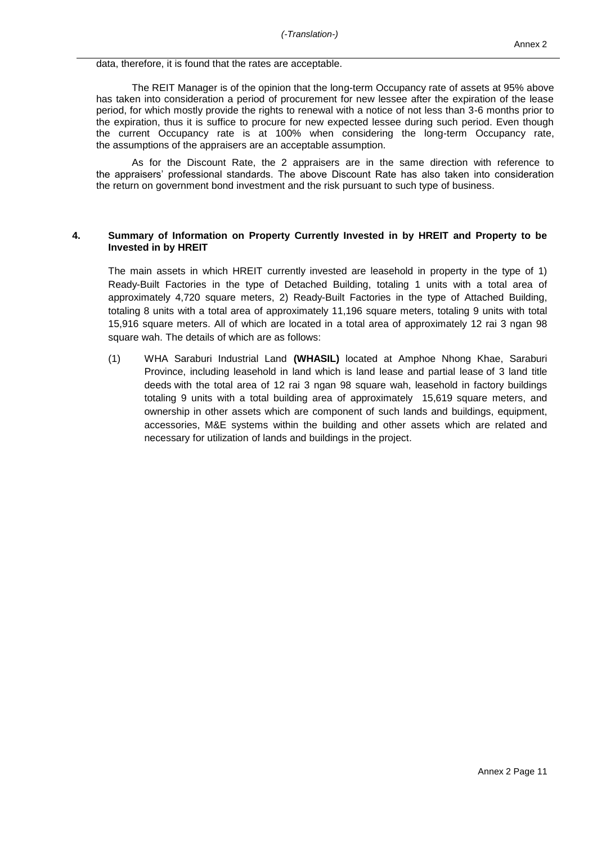data, therefore, it is found that the rates are acceptable.

The REIT Manager is of the opinion that the long-term Occupancy rate of assets at 95% above has taken into consideration a period of procurement for new lessee after the expiration of the lease period, for which mostly provide the rights to renewal with a notice of not less than 3-6 months prior to the expiration, thus it is suffice to procure for new expected lessee during such period. Even though the current Occupancy rate is at 100% when considering the long-term Occupancy rate, the assumptions of the appraisers are an acceptable assumption.

As for the Discount Rate, the 2 appraisers are in the same direction with reference to the appraisers' professional standards. The above Discount Rate has also taken into consideration the return on government bond investment and the risk pursuant to such type of business.

#### **4. Summary of Information on Property Currently Invested in by HREIT and Property to be Invested in by HREIT**

The main assets in which HREIT currently invested are leasehold in property in the type of 1) Ready-Built Factories in the type of Detached Building, totaling 1 units with a total area of approximately 4,720 square meters, 2) Ready-Built Factories in the type of Attached Building, totaling 8 units with a total area of approximately 11,196 square meters, totaling 9 units with total 15,916 square meters. All of which are located in a total area of approximately 12 rai 3 ngan 98 square wah. The details of which are as follows:

(1) WHA Saraburi Industrial Land **(WHASIL)** located at Amphoe Nhong Khae, Saraburi Province, including leasehold in land which is land lease and partial lease of 3 land title deeds with the total area of 12 rai 3 ngan 98 square wah, leasehold in factory buildings totaling 9 units with a total building area of approximately 15,619 square meters, and ownership in other assets which are component of such lands and buildings, equipment, accessories, M&E systems within the building and other assets which are related and necessary for utilization of lands and buildings in the project.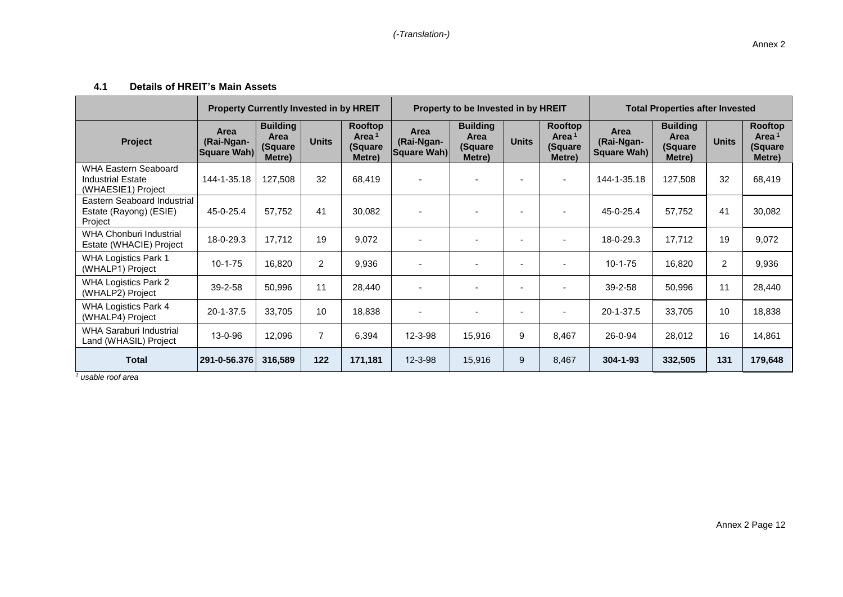## **4.1 Details of HREIT's Main Assets**

|                                                                        | <b>Property Currently Invested in by HREIT</b> |                                              | Property to be Invested in by HREIT |                                                   |                                   | <b>Total Properties after Invested</b>       |                          |                                                   |                                          |                                              |              |                                                   |
|------------------------------------------------------------------------|------------------------------------------------|----------------------------------------------|-------------------------------------|---------------------------------------------------|-----------------------------------|----------------------------------------------|--------------------------|---------------------------------------------------|------------------------------------------|----------------------------------------------|--------------|---------------------------------------------------|
| Project                                                                | Area<br>(Rai-Ngan-<br>Square Wah)              | <b>Building</b><br>Area<br>(Square<br>Metre) | <b>Units</b>                        | Rooftop<br>Area <sup>1</sup><br>(Square<br>Metre) | Area<br>(Rai-Ngan-<br>Square Wah) | <b>Building</b><br>Area<br>(Square<br>Metre) | <b>Units</b>             | Rooftop<br>Area <sup>1</sup><br>(Square<br>Metre) | Area<br>(Rai-Ngan-<br><b>Square Wah)</b> | <b>Building</b><br>Area<br>(Square<br>Metre) | <b>Units</b> | Rooftop<br>Area <sup>1</sup><br>(Square<br>Metre) |
| WHA Eastern Seaboard<br><b>Industrial Estate</b><br>(WHAESIE1) Project | 144-1-35.18                                    | 127,508                                      | 32                                  | 68,419                                            |                                   |                                              |                          |                                                   | 144-1-35.18                              | 127,508                                      | 32           | 68,419                                            |
| Eastern Seaboard Industrial<br>Estate (Rayong) (ESIE)<br>Project       | 45-0-25.4                                      | 57,752                                       | 41                                  | 30,082                                            |                                   |                                              | $\overline{\phantom{a}}$ |                                                   | 45-0-25.4                                | 57,752                                       | 41           | 30,082                                            |
| WHA Chonburi Industrial<br>Estate (WHACIE) Project                     | 18-0-29.3                                      | 17,712                                       | 19                                  | 9,072                                             |                                   |                                              | $\overline{\phantom{a}}$ |                                                   | 18-0-29.3                                | 17,712                                       | 19           | 9,072                                             |
| <b>WHA Logistics Park 1</b><br>(WHALP1) Project                        | $10 - 1 - 75$                                  | 16,820                                       | $\overline{2}$                      | 9,936                                             |                                   |                                              | $\overline{\phantom{a}}$ |                                                   | $10-1-75$                                | 16,820                                       | 2            | 9,936                                             |
| <b>WHA Logistics Park 2</b><br>(WHALP2) Project                        | 39-2-58                                        | 50,996                                       | 11                                  | 28,440                                            |                                   |                                              | $\overline{\phantom{a}}$ |                                                   | $39 - 2 - 58$                            | 50,996                                       | 11           | 28,440                                            |
| <b>WHA Logistics Park 4</b><br>(WHALP4) Project                        | 20-1-37.5                                      | 33,705                                       | 10                                  | 18,838                                            |                                   |                                              | $\overline{\phantom{a}}$ |                                                   | $20 - 1 - 37.5$                          | 33,705                                       | 10           | 18,838                                            |
| WHA Saraburi Industrial<br>Land (WHASIL) Project                       | 13-0-96                                        | 12,096                                       | 7                                   | 6,394                                             | 12-3-98                           | 15,916                                       | 9                        | 8,467                                             | 26-0-94                                  | 28,012                                       | 16           | 14,861                                            |
| <b>Total</b>                                                           | 291-0-56.376                                   | 316,589                                      | 122                                 | 171,181                                           | $12 - 3 - 98$                     | 15,916                                       | 9                        | 8,467                                             | $304 - 1 - 93$                           | 332,505                                      | 131          | 179,648                                           |

*<sup>1</sup> usable roof area*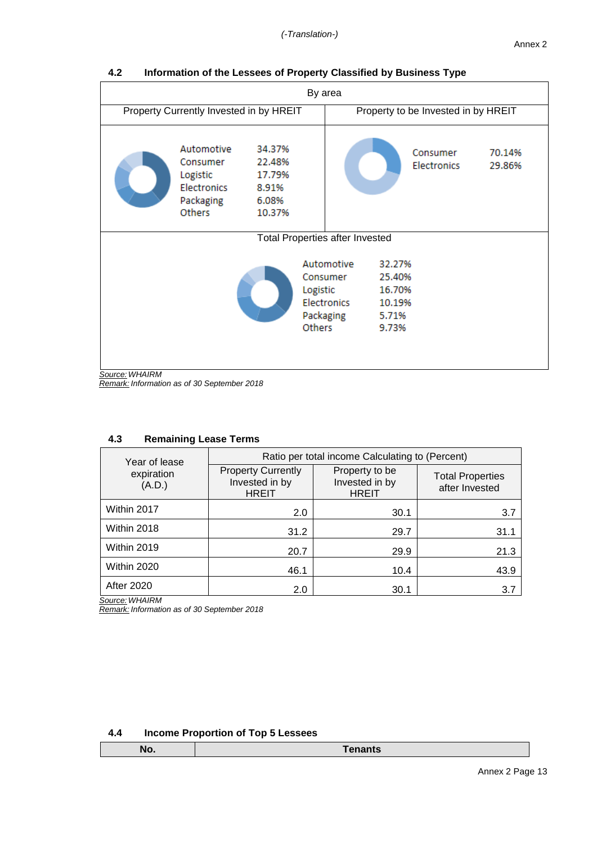| By area        |                                                                                 |                                                        |                                                    |                                        |                                                        |                                     |                  |
|----------------|---------------------------------------------------------------------------------|--------------------------------------------------------|----------------------------------------------------|----------------------------------------|--------------------------------------------------------|-------------------------------------|------------------|
|                | Property Currently Invested in by HREIT                                         |                                                        |                                                    |                                        |                                                        | Property to be Invested in by HREIT |                  |
|                | Automotive<br>Consumer<br>Logistic<br><b>Electronics</b><br>Packaging<br>Others | 34.37%<br>22.48%<br>17.79%<br>8.91%<br>6.08%<br>10.37% |                                                    |                                        |                                                        | Consumer<br><b>Electronics</b>      | 70.14%<br>29.86% |
|                |                                                                                 |                                                        |                                                    | <b>Total Properties after Invested</b> |                                                        |                                     |                  |
|                |                                                                                 |                                                        | Consumer<br>Logistic<br>Packaging<br><b>Others</b> | Automotive<br><b>Electronics</b>       | 32.27%<br>25.40%<br>16.70%<br>10.19%<br>5.71%<br>9.73% |                                     |                  |
| Source: WHAIRM |                                                                                 |                                                        |                                                    |                                        |                                                        |                                     |                  |

**4.2 Information of the Lessees of Property Classified by Business Type**

| 4.3 | <b>Remaining Lease Terms</b> |
|-----|------------------------------|
|-----|------------------------------|

| Year of lease        | Ratio per total income Calculating to (Percent)             |                                                  |                                           |  |  |  |
|----------------------|-------------------------------------------------------------|--------------------------------------------------|-------------------------------------------|--|--|--|
| expiration<br>(A.D.) | <b>Property Currently</b><br>Invested in by<br><b>HREIT</b> | Property to be<br>Invested in by<br><b>HREIT</b> | <b>Total Properties</b><br>after Invested |  |  |  |
| Within 2017          | 2.0                                                         | 30.1                                             | 3.7                                       |  |  |  |
| Within 2018          | 31.2                                                        | 29.7                                             | 31.1                                      |  |  |  |
| Within 2019          | 20.7                                                        | 29.9                                             | 21.3                                      |  |  |  |
| Within 2020          | 46.1                                                        | 10.4                                             | 43.9                                      |  |  |  |
| <b>After 2020</b>    | 2.0                                                         | 30.1                                             | 3.7                                       |  |  |  |

*Source: WHAIRM*

*Remark: Information as of 30 September 2018*

| 4.4 |  |  |  | <b>Income Proportion of Top 5 Lessees</b> |
|-----|--|--|--|-------------------------------------------|
|-----|--|--|--|-------------------------------------------|

*Source: WHAIRM Remark: Information as of 30 September 2018*